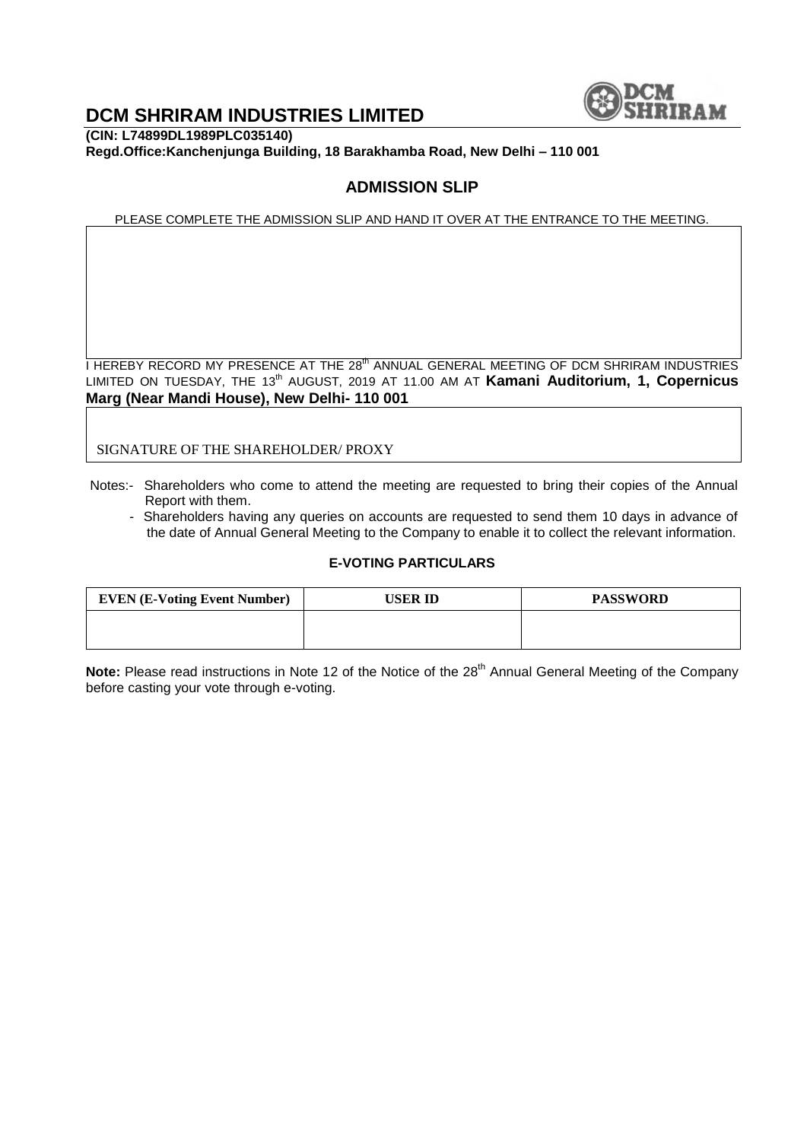

## **DCM SHRIRAM INDUSTRIES LIMITED**

**(CIN: L74899DL1989PLC035140) Regd.Office:Kanchenjunga Building, 18 Barakhamba Road, New Delhi – 110 001**

## **ADMISSION SLIP**

PLEASE COMPLETE THE ADMISSION SLIP AND HAND IT OVER AT THE ENTRANCE TO THE MEETING.

I HEREBY RECORD MY PRESENCE AT THE 28<sup>th</sup> ANNUAL GENERAL MEETING OF DCM SHRIRAM INDUSTRIES LIMITED ON TUESDAY, THE 13<sup>th</sup> AUGUST, 2019 AT 11.00 AM AT Kamani Auditorium, 1, Copernicus **Marg (Near Mandi House), New Delhi- 110 001**

SIGNATURE OF THE SHAREHOLDER/ PROXY

- Notes:- Shareholders who come to attend the meeting are requested to bring their copies of the Annual Report with them.
	- Shareholders having any queries on accounts are requested to send them 10 days in advance of the date of Annual General Meeting to the Company to enable it to collect the relevant information.

#### **E-VOTING PARTICULARS**

| <b>EVEN (E-Voting Event Number)</b> | USER ID | <b>PASSWORD</b> |
|-------------------------------------|---------|-----------------|
|                                     |         |                 |
|                                     |         |                 |

Note: Please read instructions in Note 12 of the Notice of the 28<sup>th</sup> Annual General Meeting of the Company before casting your vote through e-voting.